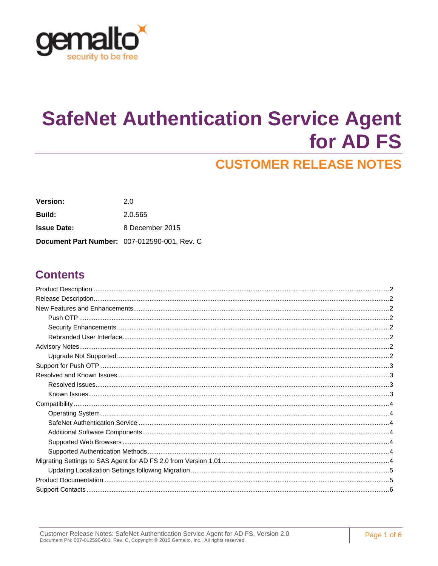

# **SafeNet Authentication Service Agent** for AD FS

# **CUSTOMER RELEASE NOTES**

| <b>Version:</b>                              | 2.0             |
|----------------------------------------------|-----------------|
| <b>Build:</b>                                | 2.0.565         |
| <b>Issue Date:</b>                           | 8 December 2015 |
| Document Part Number: 007-012590-001, Rev. C |                 |

### **Contents**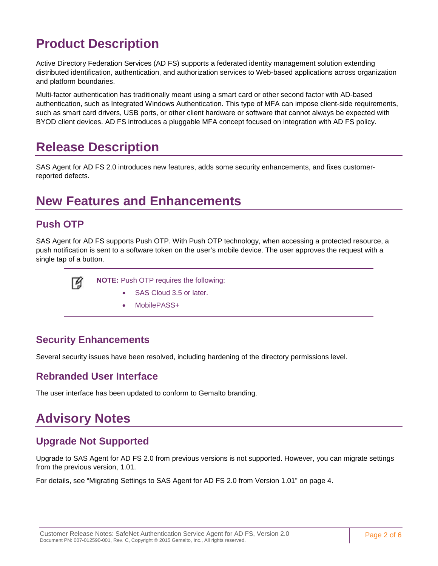# <span id="page-1-0"></span>**Product Description**

Active Directory Federation Services (AD FS) supports a federated identity management solution extending distributed identification, authentication, and authorization services to Web-based applications across organization and platform boundaries.

Multi-factor authentication has traditionally meant using a smart card or other second factor with AD-based authentication, such as Integrated Windows Authentication. This type of MFA can impose client-side requirements, such as smart card drivers, USB ports, or other client hardware or software that cannot always be expected with BYOD client devices. AD FS introduces a pluggable MFA concept focused on integration with AD FS policy.

## <span id="page-1-1"></span>**Release Description**

SAS Agent for AD FS 2.0 introduces new features, adds some security enhancements, and fixes customerreported defects.

## <span id="page-1-2"></span>**New Features and Enhancements**

### <span id="page-1-3"></span>**Push OTP**

SAS Agent for AD FS supports Push OTP. With Push OTP technology, when accessing a protected resource, a push notification is sent to a software token on the user's mobile device. The user approves the request with a single tap of a button.



**NOTE:** Push OTP requires the following:

- SAS Cloud 3.5 or later.
- MobilePASS+

### <span id="page-1-4"></span>**Security Enhancements**

Several security issues have been resolved, including hardening of the directory permissions level.

### <span id="page-1-5"></span>**Rebranded User Interface**

The user interface has been updated to conform to Gemalto branding.

# <span id="page-1-6"></span>**Advisory Notes**

### <span id="page-1-7"></span>**Upgrade Not Supported**

Upgrade to SAS Agent for AD FS 2.0 from previous versions is not supported. However, you can migrate settings from the previous version, 1.01.

For details, see ["Migrating Settings to SAS Agent for AD FS 2.0 from Version 1.01"](#page-3-6) on page [4.](#page-3-6)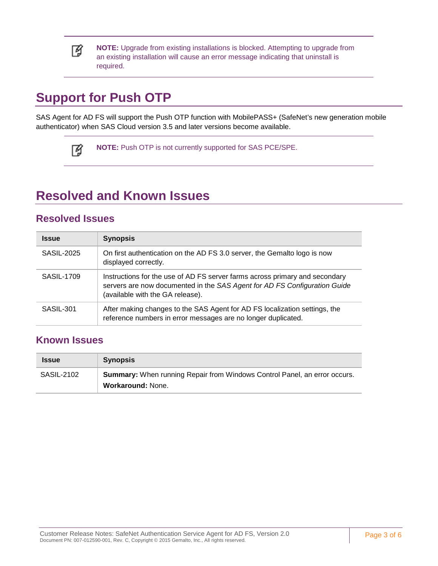

**NOTE:** Upgrade from existing installations is blocked. Attempting to upgrade from an existing installation will cause an error message indicating that uninstall is required.

# <span id="page-2-0"></span>**Support for Push OTP**

SAS Agent for AD FS will support the Push OTP function with MobilePASS+ (SafeNet's new generation mobile authenticator) when SAS Cloud version 3.5 and later versions become available.



**NOTE:** Push OTP is not currently supported for SAS PCE/SPE.

### <span id="page-2-1"></span>**Resolved and Known Issues**

#### <span id="page-2-2"></span>**Resolved Issues**

| <b>Issue</b> | <b>Synopsis</b>                                                                                                                                                                              |
|--------------|----------------------------------------------------------------------------------------------------------------------------------------------------------------------------------------------|
| SASIL-2025   | On first authentication on the AD FS 3.0 server, the Gemalto logo is now<br>displayed correctly.                                                                                             |
| SASIL-1709   | Instructions for the use of AD FS server farms across primary and secondary<br>servers are now documented in the SAS Agent for AD FS Configuration Guide<br>(available with the GA release). |
| SASIL-301    | After making changes to the SAS Agent for AD FS localization settings, the<br>reference numbers in error messages are no longer duplicated.                                                  |

#### <span id="page-2-3"></span>**Known Issues**

| <b>Issue</b>      | <b>Synopsis</b>                                                                                              |
|-------------------|--------------------------------------------------------------------------------------------------------------|
| <b>SASIL-2102</b> | <b>Summary:</b> When running Repair from Windows Control Panel, an error occurs.<br><b>Workaround: None.</b> |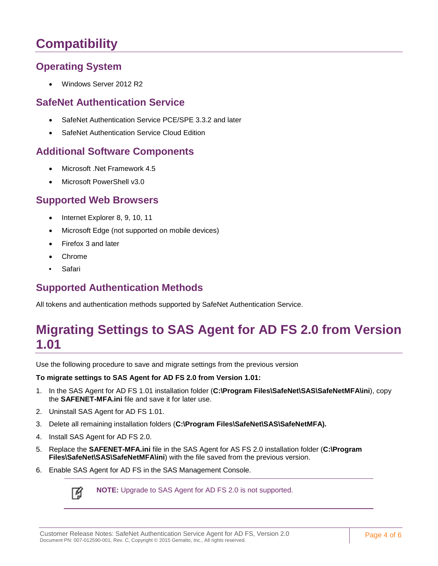# <span id="page-3-0"></span>**Compatibility**

### <span id="page-3-1"></span>**Operating System**

• Windows Server 2012 R2

#### <span id="page-3-2"></span>**SafeNet Authentication Service**

- SafeNet Authentication Service PCE/SPE 3.3.2 and later
- SafeNet Authentication Service Cloud Edition

### <span id="page-3-3"></span>**Additional Software Components**

- Microsoft .Net Framework 4.5
- Microsoft PowerShell v3.0

#### <span id="page-3-4"></span>**Supported Web Browsers**

- Internet Explorer 8, 9, 10, 11
- Microsoft Edge (not supported on mobile devices)
- Firefox 3 and later
- Chrome
- Safari

### <span id="page-3-5"></span>**Supported Authentication Methods**

All tokens and authentication methods supported by SafeNet Authentication Service.

### <span id="page-3-6"></span>**Migrating Settings to SAS Agent for AD FS 2.0 from Version 1.01**

Use the following procedure to save and migrate settings from the previous version

#### **To migrate settings to SAS Agent for AD FS 2.0 from Version 1.01:**

- 1. In the SAS Agent for AD FS 1.01 installation folder (**C:\Program Files\SafeNet\SAS\SafeNetMFA\ini**), copy the **SAFENET-MFA.ini** file and save it for later use.
- 2. Uninstall SAS Agent for AD FS 1.01.
- 3. Delete all remaining installation folders (**C:\Program Files\SafeNet\SAS\SafeNetMFA).**
- 4. Install SAS Agent for AD FS 2.0.
- 5. Replace the **SAFENET-MFA.ini** file in the SAS Agent for AS FS 2.0 installation folder (**C:\Program Files\SafeNet\SAS\SafeNetMFA\ini**) with the file saved from the previous version.
- 6. Enable SAS Agent for AD FS in the SAS Management Console.



**NOTE:** Upgrade to SAS Agent for AD FS 2.0 is not supported.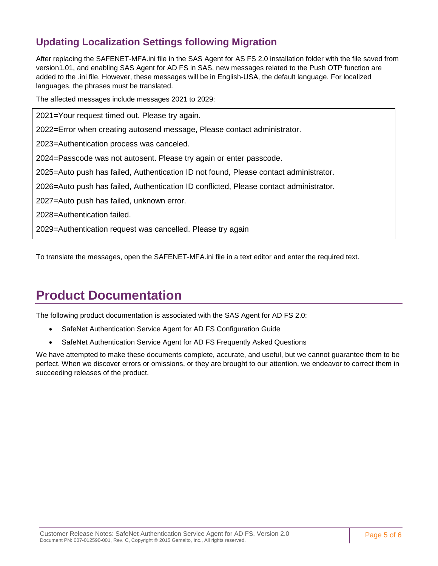### <span id="page-4-0"></span>**Updating Localization Settings following Migration**

After replacing the SAFENET-MFA.ini file in the SAS Agent for AS FS 2.0 installation folder with the file saved from version1.01, and enabling SAS Agent for AD FS in SAS, new messages related to the Push OTP function are added to the .ini file. However, these messages will be in English-USA, the default language. For localized languages, the phrases must be translated.

The affected messages include messages 2021 to 2029:

2021=Your request timed out. Please try again. 2022=Error when creating autosend message, Please contact administrator. 2023=Authentication process was canceled. 2024=Passcode was not autosent. Please try again or enter passcode. 2025=Auto push has failed, Authentication ID not found, Please contact administrator. 2026=Auto push has failed, Authentication ID conflicted, Please contact administrator. 2027=Auto push has failed, unknown error. 2028=Authentication failed. 2029=Authentication request was cancelled. Please try again

To translate the messages, open the SAFENET-MFA.ini file in a text editor and enter the required text.

# <span id="page-4-1"></span>**Product Documentation**

The following product documentation is associated with the SAS Agent for AD FS 2.0:

- SafeNet Authentication Service Agent for AD FS Configuration Guide
- SafeNet Authentication Service Agent for AD FS Frequently Asked Questions

We have attempted to make these documents complete, accurate, and useful, but we cannot guarantee them to be perfect. When we discover errors or omissions, or they are brought to our attention, we endeavor to correct them in succeeding releases of the product.